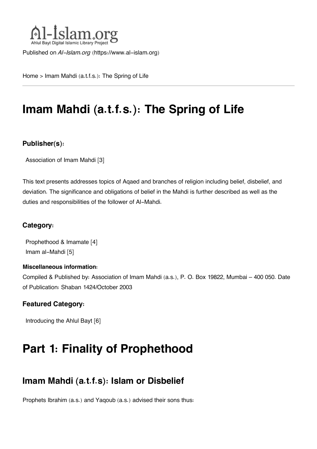

Published on *Al-Islam.org* ([https://www.al-islam.org\)](https://www.al-islam.org)

[Home](https://www.al-islam.org/) > Imam Mahdi (a.t.f.s.): The Spring of Life

# **Imam Mahdi (a.t.f.s.): The Spring of Life**

#### **Publisher(s):**

[Association of Imam Mahdi](https://www.al-islam.org/organization/association-imam-mahdi) [3]

This text presents addresses topics of Aqaed and branches of religion including belief, disbelief, and deviation. The significance and obligations of belief in the Mahdi is further described as well as the duties and responsibilities of the follower of Al-Mahdi.

#### **Category:**

[Prophethood & Imamate](https://www.al-islam.org/library/prophethood-imamate) [4] [Imam al-Mahdi](https://www.al-islam.org/library/imam-al-mahdi) [5]

#### **Miscellaneous information:**

Compiled & Published by: Association of Imam Mahdi (a.s.), P. O. Box 19822, Mumbai – 400 050. Date of Publication: Shaban 1424/October 2003

#### **Featured Category:**

[Introducing the Ahlul Bayt](https://www.al-islam.org/feature/introducing-ahlul-bayt) [6]

# **Part 1: Finality of Prophethood**

### **[Imam Mahdi \(a.t.f.s\): Islam or Disbelief](#page--1-0)**

Prophets Ibrahim (a.s.) and Yaqoub (a.s.) advised their sons thus: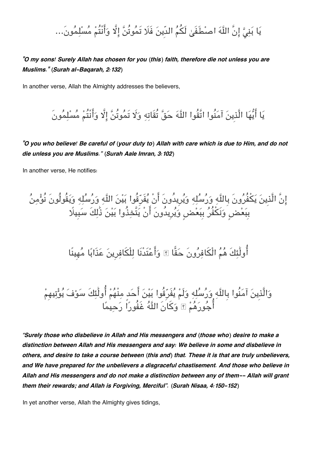# يَا بَنِيَّ إِنَّ اللَّهَ اصطْفَىٰ لَكُمُ الدِّينَ فَلَا تَمُوتُنَّ إِلَّا وَأَنْتُمْ مُسْلِمُونَ...

*"O my sons! Surely Allah has chosen for you (this) faith, therefore die not unless you are Muslims." (Surah al-Baqarah, 2:132)*

In another verse, Allah the Almighty addresses the believers,

يَا أَيُّهَا الَّذِينَ آمَنُوا اتَّقُوا اللَّهَ حَقَّ تُقَاتِهِ وَلَا تَمُوتُنَّ إِلَّا وَأَنْتُمْ مُسْلِمُونَ

*"O you who believe! Be careful of (your duty to) Allah with care which is due to Him, and do not die unless you are Muslims." (Surah Aale Imran, 3:102)*

In another verse, He notifies:

إِنَّ الَّذِينَ يَكْفُرُونَ بِاللَّهِ وَرُسُلِهِ وَيُرِيدُونَ أَنْ يُفَرِّقُوا بَيْنَ اللَّهِ وَرُسُلِهِ وَيَقُولُونَ نُؤْمِنُ بِبَعْضٍ وَنَكْفُرُ بِبَعْضٍ وَيُرِيدُونَ أَنْ يَتَّخِذُوا بَيْنَ ذَٰلِكَ سَبِيلًا

أُولَٰئكَ هُمُ الْكَافِرُونَ حَقًّا ۞ وَأَعْتَدْنَا لِلْكَافِرِينَ عَذَابًا مُهِينًا

وَالَّذِينَ آمَنُوا بِاللَّهِ وَرُسُلِهِ وَلَمْ يُفَرِّقُوا بَيْنَ أَحَدٍ مِنْهُمْ أُولَٰئِكَ سَوْفَ يُوْتِيهِمْ أَجُو رَهُمْ ۩ وَكَانَ اللَّهُ غَفُوراً رَحِيمًا

*"Surely those who disbelieve in Allah and His messengers and (those who) desire to make a distinction between Allah and His messengers and say: We believe in some and disbelieve in others, and desire to take a course between (this and) that. These it is that are truly unbelievers, and We have prepared for the unbelievers a disgraceful chastisement. And those who believe in Allah and His messengers and do not make a distinction between any of them-- Allah will grant them their rewards; and Allah is Forgiving, Merciful". (Surah Nisaa, 4:150-152)*

In yet another verse, Allah the Almighty gives tidings,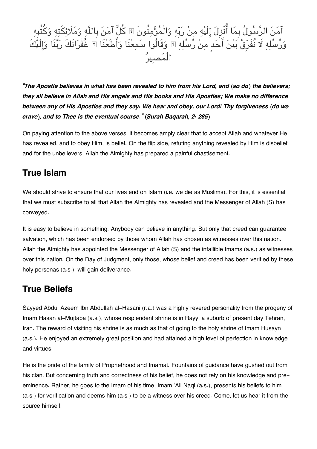

*"The Apostle believes in what has been revealed to him from his Lord, and (so do) the believers; they all believe in Allah and His angels and His books and His Apostles; We make no difference between any of His Apostles and they say: We hear and obey, our Lord! Thy forgiveness (do we crave), and to Thee is the eventual course." (Surah Baqarah, 2: 285)*

On paying attention to the above verses, it becomes amply clear that to accept Allah and whatever He has revealed, and to obey Him, is belief. On the flip side, refuting anything revealed by Him is disbelief and for the unbelievers, Allah the Almighty has prepared a painful chastisement.

### **[True Islam](#page--1-0)**

We should strive to ensure that our lives end on Islam (i.e. we die as Muslims). For this, it is essential that we must subscribe to all that Allah the Almighty has revealed and the Messenger of Allah (S) has conveyed.

It is easy to believe in something. Anybody can believe in anything. But only that creed can guarantee salvation, which has been endorsed by those whom Allah has chosen as witnesses over this nation. Allah the Almighty has appointed the Messenger of Allah (S) and the infallible Imams (a.s.) as witnesses over this nation. On the Day of Judgment, only those, whose belief and creed has been verified by these holy personas (a.s.), will gain deliverance.

### **[True Beliefs](#page--1-0)**

Sayyed Abdul Azeem Ibn Abdullah al-Hasani (r.a.) was a highly revered personality from the progeny of Imam Hasan al-Mujtaba (a.s.), whose resplendent shrine is in Rayy, a suburb of present day Tehran, Iran. The reward of visiting his shrine is as much as that of going to the holy shrine of Imam Husayn (a.s.). He enjoyed an extremely great position and had attained a high level of perfection in knowledge and virtues.

He is the pride of the family of Prophethood and Imamat. Fountains of guidance have gushed out from his clan. But concerning truth and correctness of his belief, he does not rely on his knowledge and preeminence. Rather, he goes to the Imam of his time, Imam 'Ali Naqi (a.s.), presents his beliefs to him (a.s.) for verification and deems him (a.s.) to be a witness over his creed. Come, let us hear it from the source himself.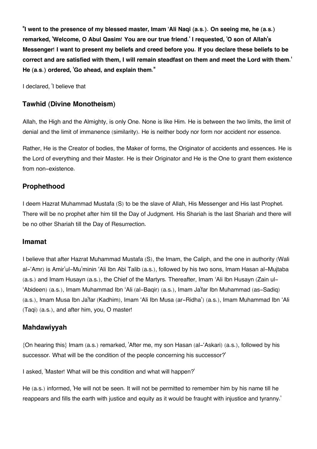**''I went to the presence of my blessed master, Imam 'Ali Naqi (a.s.). On seeing me, he (a.s.) remarked, 'Welcome, O Abul Qasim! You are our true friend.' I requested, 'O son of Allah's Messenger! I want to present my beliefs and creed before you. If you declare these beliefs to be correct and are satisfied with them, I will remain steadfast on them and meet the Lord with them.' He (a.s.) ordered, 'Go ahead, and explain them."**

I declared, 'I believe that

#### **[Tawhid \(Divine Monotheism\)](#page--1-0)**

Allah, the High and the Almighty, is only One. None is like Him. He is between the two limits, the limit of denial and the limit of immanence (similarity). He is neither body nor form nor accident nor essence.

Rather, He is the Creator of bodies, the Maker of forms, the Originator of accidents and essences. He is the Lord of everything and their Master. He is their Originator and He is the One to grant them existence from non-existence.

#### **[Prophethood](#page--1-0)**

I deem Hazrat Muhammad Mustafa (S) to be the slave of Allah, His Messenger and His last Prophet. There will be no prophet after him till the Day of Judgment. His Shariah is the last Shariah and there will be no other Shariah till the Day of Resurrection.

#### **[Imamat](#page--1-0)**

I believe that after Hazrat Muhammad Mustafa (S), the Imam, the Caliph, and the one in authority (Wali al-'Amr) is Amir'ul-Mu'minin 'Ali Ibn Abi Talib (a.s.), followed by his two sons, Imam Hasan al-Mujtaba (a.s.) and Imam Husayn (a.s.), the Chief of the Martyrs. Thereafter, Imam 'Ali Ibn Husayn (Zain ul- 'Abideen) (a.s.), Imam Muhammad Ibn 'Ali (al-Baqir) (a.s.), Imam Ja'far Ibn Muhammad (as-Sadiq) (a.s.), Imam Musa Ibn Ja'far (Kadhim), Imam 'Ali Ibn Musa (ar-Ridha') (a.s.), Imam Muhammad Ibn 'Ali (Taqi) (a.s.), and after him, you, O master!

#### **[Mahdawiyyah](#page--1-0)**

{On hearing this} Imam (a.s.) remarked, 'After me, my son Hasan (al-'Askari) (a.s.), followed by his successor. What will be the condition of the people concerning his successor?'

I asked, 'Master! What will be this condition and what will happen?'

He (a.s.) informed, 'He will not be seen. It will not be permitted to remember him by his name till he reappears and fills the earth with justice and equity as it would be fraught with injustice and tyranny.'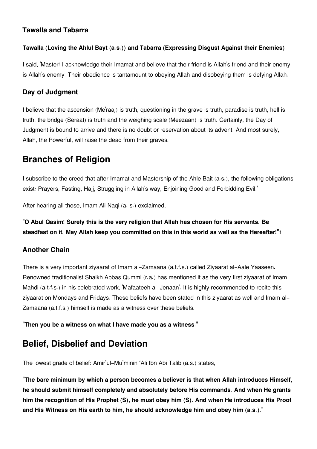#### **[Tawalla and Tabarra](#page--1-0)**

#### **Tawalla (Loving the Ahlul Bayt (a.s.)) and Tabarra (Expressing Disgust Against their Enemies)**

I said, 'Master! I acknowledge their Imamat and believe that their friend is Allah's friend and their enemy is Allah's enemy. Their obedience is tantamount to obeying Allah and disobeying them is defying Allah.

#### **[Day of Judgment](#page--1-0)**

I believe that the ascension (Me'raaj) is truth, questioning in the grave is truth, paradise is truth, hell is truth, the bridge (Seraat) is truth and the weighing scale (Meezaan) is truth. Certainly, the Day of Judgment is bound to arrive and there is no doubt or reservation about its advent. And most surely, Allah, the Powerful, will raise the dead from their graves.

### **[Branches of Religion](#page--1-0)**

I subscribe to the creed that after Imamat and Mastership of the Ahle Bait (a.s.), the following obligations exist: Prayers, Fasting, Hajj, Struggling in Allah's way, Enjoining Good and Forbidding Evil.'

After hearing all these, Imam Ali Naqi (a. s.) exclaimed,

#### **"O Abul Qasim! Surely this is the very religion that Allah has chosen for His servants. Be steadfast on it. May Allah keep you committed on this in this world as well as the Hereafter!"**[1](#page--1-0)

#### **[Another Chain](#page--1-0)**

There is a very important ziyaarat of Imam al-Zamaana (a.t.f.s.) called Ziyaarat al-Aale Yaaseen. Renowned traditionalist Shaikh Abbas Qummi (r.a.) has mentioned it as the very first ziyaarat of Imam Mahdi (a.t.f.s.) in his celebrated work, 'Mafaateeh al-Jenaan'. It is highly recommended to recite this ziyaarat on Mondays and Fridays. These beliefs have been stated in this ziyaarat as well and Imam al-Zamaana (a.t.f.s.) himself is made as a witness over these beliefs.

**"Then you be a witness on what I have made you as a witness."**

### **[Belief, Disbelief and Deviation](#page--1-0)**

The lowest grade of belief: Amir'ul-Mu'minin 'Ali Ibn Abi Talib (a.s.) states,

**"The bare minimum by which a person becomes a believer is that when Allah introduces Himself, he should submit himself completely and absolutely before His commands. And when He grants him the recognition of His Prophet (S), he must obey him (S). And when He introduces His Proof and His Witness on His earth to him, he should acknowledge him and obey him (a.s.)."**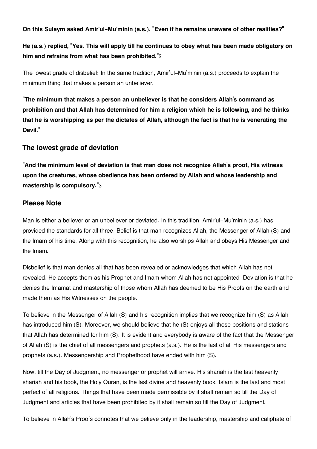**On this Sulaym asked Amir'ul-Mu'minin (a.s.), "Even if he remains unaware of other realities?"**

**He (a.s.) replied, "Yes. This will apply till he continues to obey what has been made obligatory on him and refrains from what has been prohibited."**[2](#page--1-0)

The lowest grade of disbelief: In the same tradition, Amir'ul-Mu'minin (a.s.) proceeds to explain the minimum thing that makes a person an unbeliever.

**"The minimum that makes a person an unbeliever is that he considers Allah's command as prohibition and that Allah has determined for him a religion which he is following, and he thinks that he is worshipping as per the dictates of Allah, although the fact is that he is venerating the Devil."**

#### **[The lowest grade of deviation](#page--1-0)**

**"And the minimum level of deviation is that man does not recognize Allah's proof, His witness upon the creatures, whose obedience has been ordered by Allah and whose leadership and mastership is compulsory."**[3](#page--1-0)

#### **[Please Note](#page--1-0)**

Man is either a believer or an unbeliever or deviated. In this tradition, Amir'ul-Mu'minin (a.s.) has provided the standards for all three. Belief is that man recognizes Allah, the Messenger of Allah (S) and the Imam of his time. Along with this recognition, he also worships Allah and obeys His Messenger and the Imam.

Disbelief is that man denies all that has been revealed or acknowledges that which Allah has not revealed. He accepts them as his Prophet and Imam whom Allah has not appointed. Deviation is that he denies the Imamat and mastership of those whom Allah has deemed to be His Proofs on the earth and made them as His Witnesses on the people.

To believe in the Messenger of Allah (S) and his recognition implies that we recognize him (S) as Allah has introduced him (S). Moreover, we should believe that he (S) enjoys all those positions and stations that Allah has determined for him (S). It is evident and everybody is aware of the fact that the Messenger of Allah (S) is the chief of all messengers and prophets (a.s.). He is the last of all His messengers and prophets (a.s.). Messengership and Prophethood have ended with him (S).

Now, till the Day of Judgment, no messenger or prophet will arrive. His shariah is the last heavenly shariah and his book, the Holy Quran, is the last divine and heavenly book. Islam is the last and most perfect of all religions. Things that have been made permissible by it shall remain so till the Day of Judgment and articles that have been prohibited by it shall remain so till the Day of Judgment.

To believe in Allah's Proofs connotes that we believe only in the leadership, mastership and caliphate of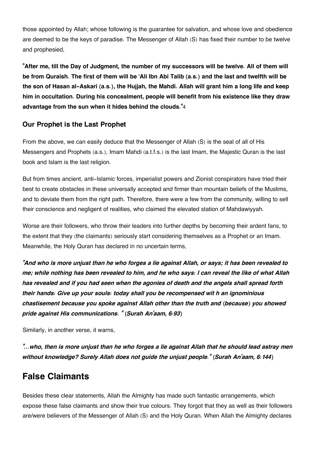those appointed by Allah; whose following is the guarantee for salvation, and whose love and obedience are deemed to be the keys of paradise. The Messenger of Allah (S) has fixed their number to be twelve and prophesied,

**"After me, till the Day of Judgment, the number of my successors will be twelve. All of them will be from Quraish. The first of them will be 'Ali Ibn Abi Talib (a.s.) and the last and twelfth will be the son of Hasan al-Askari (a.s.), the Hujjah, the Mahdi. Allah will grant him a long life and keep him in occultation. During his concealment, people will benefit from his existence like they draw advantage from the sun when it hides behind the clouds."**[4](#page--1-0)

#### **[Our Prophet is the Last Prophet](#page--1-0)**

From the above, we can easily deduce that the Messenger of Allah (S) is the seal of all of His Messengers and Prophets (a.s.), Imam Mahdi (a.t.f.s.) is the last Imam, the Majestic Quran is the last book and Islam is the last religion.

But from times ancient, anti-Islamic forces, imperialist powers and Zionist conspirators have tried their best to create obstacles in these universally accepted and firmer than mountain beliefs of the Muslims, and to deviate them from the right path. Therefore, there were a few from the community, willing to sell their conscience and negligent of realities, who claimed the elevated station of Mahdawiyyah.

Worse are their followers, who throw their leaders into further depths by becoming their ardent fans, to the extent that they (the claimants) seriously start considering themselves as a Prophet or an Imam. Meanwhile, the Holy Quran has declared in no uncertain terms,

*"And who is more unjust than he who forges a lie against Allah, or says; it has been revealed to me; while nothing has been revealed to him, and he who says: I can reveal the like of what Allah has revealed and if you had seen when the agonies of death and the angels shall spread forth their hands: Give up your souls: today shall you be recompensed wit h an ignominious chastisement because you spoke against Allah other than the truth and (because) you showed pride against His communications. " (Surah An'aam, 6:93)*

Similarly, in another verse, it warns,

*"…who, then is more unjust than he who forges a lie against Allah that he should lead astray men without knowledge? Surely Allah does not guide the unjust people."* **(***Surah An'aam, 6:144)*

### **[False Claimants](#page--1-0)**

Besides these clear statements, Allah the Almighty has made such fantastic arrangements, which expose these false claimants and show their true colours. They forgot that they as well as their followers are/were believers of the Messenger of Allah (S) and the Holy Quran. When Allah the Almighty declares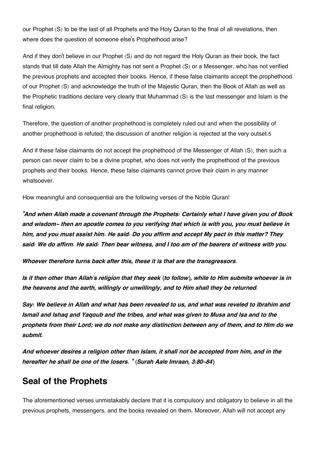our Prophet (S) to be the last of all Prophets and the Holy Quran to the final of all revelations, then where does the question of someone else's Prophethood arise?

And if they don't believe in our Prophet (S) and do not regard the Holy Quran as their book, the fact stands that till date Allah the Almighty has not sent a Prophet (S) or a Messenger, who has not verified the previous prophets and accepted their books. Hence, if these false claimants accept the prophethood of our Prophet (S) and acknowledge the truth of the Majestic Quran, then the Book of Allah as well as the Prophetic traditions declare very clearly that Muhammad (S) is the last messenger and Islam is the final religion.

Therefore, the question of another prophethood is completely ruled out and when the possibility of another prophethood is refuted, the discussion of another religion is rejected at the very outset.[5](#page--1-0)

And if these false claimants do not accept the prophethood of the Messenger of Allah (S), then such a person can never claim to be a divine prophet, who does not verify the prophethood of the previous prophets and their books. Hence, these false claimants cannot prove their claim in any manner whatsoever.

How meaningful and consequential are the following verses of the Noble Quran!

*"And when Allah made a covenant through the Prophets: Certainly what I have given you of Book and wisdom- then an apostle comes to you verifying that which is with you, you must believe in him, and you must assist him. He said: Do you affirm and accept My pact in this matter? They said: We do affirm. He said: Then bear witness, and I too am of the bearers of witness with you.*

*Whoever therefore turns back after this, these it is that are the transgressors.*

*Is it then other than Allah's religion that they seek (to follow), while to Him submits whoever is in the heavens and the earth, willingly or unwillingly, and to Him shall they be returned.*

*Say: We believe in Allah and what has been revealed to us, and what was reveled to Ibrahim and Ismail and Ishaq and Yaqoub and the tribes, and what was given to Musa and Isa and to the prophets from their Lord; we do not make any distinction between any of them, and to Him do we submit.*

*And whoever desires a religion other than Islam, it shall not be accepted from him, and in the hereafter he shall be one of the losers. " (Surah Aale Imraan, 3:80-84)*

### **[Seal of the Prophets](#page--1-0)**

The aforementioned verses unmistakably declare that it is compulsory and obligatory to believe in all the previous prophets, messengers, and the books revealed on them. Moreover, Allah will not accept any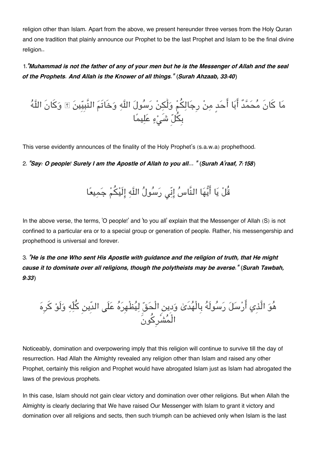religion other than Islam. Apart from the above, we present hereunder three verses from the Holy Quran and one tradition that plainly announce our Prophet to be the last Prophet and Islam to be the final divine religion..

1.*"Muhammad is not the father of any of your men but he is the Messenger of Allah and the seal of the Prophets. And Allah is the Knower of all things." (Surah Ahzaab, 33:40)*

ما كانَ محمدٌ ابا احدٍ من رِجالم ولَٰن رسول اله وخَاتَم النَّبِيِين ۗ وكانَ اله بِل شَء عليما

This verse evidently announces of the finality of the Holy Prophet's (s.a.w.a) prophethood.

2. *"Say: O people! Surely I am the Apostle of Allah to you all… " (Surah A'raaf, 7:158)*

قُلْ يَا أَيُّهَا النَّاسُ إِنِّي رَسُولُ اللَّهِ إِلَيْكُمْ جَمِيعًا

In the above verse, the terms, 'O people!' and 'to you all' explain that the Messenger of Allah (S) is not confined to a particular era or to a special group or generation of people. Rather, his messengership and prophethood is universal and forever.

3. *"He is the one Who sent His Apostle with guidance and the religion of truth, that He might cause it to dominate over all religions, though the polytheists may be averse." (Surah Tawbah, 9:33)*

هُوَ الَّذِي أَرْسَلَ رَسُولَهُ بِالْهَدَىٰ وَدِينِ الْحَقِّ لِيَظْهِرَهُ عَلَى الدِّينِ كَلِّهِ وَلَوْ كَرِهَ الْمشْرِكونَ

Noticeably, domination and overpowering imply that this religion will continue to survive till the day of resurrection. Had Allah the Almighty revealed any religion other than Islam and raised any other Prophet, certainly this religion and Prophet would have abrogated Islam just as Islam had abrogated the laws of the previous prophets.

In this case, Islam should not gain clear victory and domination over other religions. But when Allah the Almighty is clearly declaring that We have raised Our Messenger with Islam to grant it victory and domination over all religions and sects, then such triumph can be achieved only when Islam is the last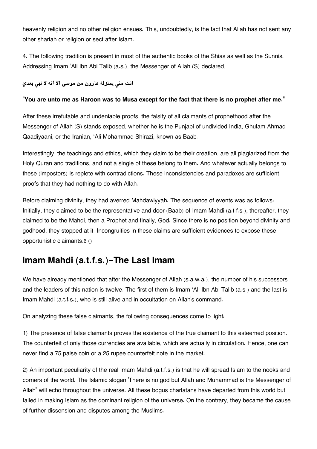heavenly religion and no other religion ensues. This, undoubtedly, is the fact that Allah has not sent any other shariah or religion or sect after Islam.

4. The following tradition is present in most of the authentic books of the Shias as well as the Sunnis. Addressing Imam 'Ali Ibn Abi Talib (a.s.), the Messenger of Allah (S) declared,

#### **انت من بمنزلة هارون من موس الا انه لا نب بعدي**

#### **"You are unto me as Haroon was to Musa except for the fact that there is no prophet after me."**

After these irrefutable and undeniable proofs, the falsity of all claimants of prophethood after the Messenger of Allah (S) stands exposed, whether he is the Punjabi of undivided India, Ghulam Ahmad Qaadiyaani, or the Iranian, 'Ali Mohammad Shirazi, known as Baab.

Interestingly, the teachings and ethics, which they claim to be their creation, are all plagiarized from the Holy Quran and traditions, and not a single of these belong to them. And whatever actually belongs to these (impostors) is replete with contradictions. These inconsistencies and paradoxes are sufficient proofs that they had nothing to do with Allah.

Before claiming divinity, they had averred Mahdawiyyah. The sequence of events was as follows: Initially, they claimed to be the representative and door (Baab) of Imam Mahdi (a.t.f.s.), thereafter, they claimed to be the Mahdi, then a Prophet and finally, God. Since there is no position beyond divinity and godhood, they stopped at it. Incongruities in these claims are sufficient evidences to expose these opportunistic claimants.[6](#page--1-0) ()

# **[Imam Mahdi \(a.t.f.s.\)-The Last Imam](#page--1-0)**

We have already mentioned that after the Messenger of Allah (s.a.w.a.), the number of his successors and the leaders of this nation is twelve. The first of them is Imam 'Ali Ibn Abi Talib (a.s.) and the last is Imam Mahdi (a.t.f.s.), who is still alive and in occultation on Allah's command.

On analyzing these false claimants, the following consequences come to light:

1) The presence of false claimants proves the existence of the true claimant to this esteemed position. The counterfeit of only those currencies are available, which are actually in circulation. Hence, one can never find a 75 paise coin or a 25 rupee counterfeit note in the market.

2) An important peculiarity of the real Imam Mahdi (a.t.f.s.) is that he will spread Islam to the nooks and corners of the world. The Islamic slogan 'There is no god but Allah and Muhammad is the Messenger of Allah" will echo throughout the universe. All these bogus charlatans have departed from this world but failed in making Islam as the dominant religion of the universe. On the contrary, they became the cause of further dissension and disputes among the Muslims.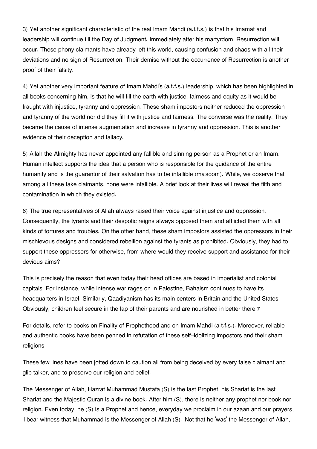3) Yet another significant characteristic of the real Imam Mahdi (a.t.f.s.) is that his Imamat and leadership will continue till the Day of Judgment. Immediately after his martyrdom, Resurrection will occur. These phony claimants have already left this world, causing confusion and chaos with all their deviations and no sign of Resurrection. Their demise without the occurrence of Resurrection is another proof of their falsity.

4) Yet another very important feature of Imam Mahdi's (a.t.f.s.) leadership, which has been highlighted in all books concerning him, is that he will fill the earth with justice, fairness and equity as it would be fraught with injustice, tyranny and oppression. These sham impostors neither reduced the oppression and tyranny of the world nor did they fill it with justice and fairness. The converse was the reality. They became the cause of intense augmentation and increase in tyranny and oppression. This is another evidence of their deception and fallacy.

5) Allah the Almighty has never appointed any fallible and sinning person as a Prophet or an Imam. Human intellect supports the idea that a person who is responsible for the guidance of the entire humanity and is the guarantor of their salvation has to be infallible (ma'soom). While, we observe that among all these fake claimants, none were infallible. A brief look at their lives will reveal the filth and contamination in which they existed.

6) The true representatives of Allah always raised their voice against injustice and oppression. Consequently, the tyrants and their despotic reigns always opposed them and afflicted them with all kinds of tortures and troubles. On the other hand, these sham impostors assisted the oppressors in their mischievous designs and considered rebellion against the tyrants as prohibited. Obviously, they had to support these oppressors for otherwise, from where would they receive support and assistance for their devious aims?

This is precisely the reason that even today their head offices are based in imperialist and colonial capitals. For instance, while intense war rages on in Palestine, Bahaism continues to have its headquarters in Israel. Similarly, Qaadiyanism has its main centers in Britain and the United States. Obviously, children feel secure in the lap of their parents and are nourished in better there.[7](#page--1-0)

For details, refer to books on Finality of Prophethood and on Imam Mahdi (a.t.f.s.). Moreover, reliable and authentic books have been penned in refutation of these self-idolizing impostors and their sham religions.

These few lines have been jotted down to caution all from being deceived by every false claimant and glib talker, and to preserve our religion and belief.

The Messenger of Allah, Hazrat Muhammad Mustafa (S) is the last Prophet, his Shariat is the last Shariat and the Majestic Quran is a divine book. After him (S), there is neither any prophet nor book nor religion. Even today, he (S) is a Prophet and hence, everyday we proclaim in our azaan and our prayers, 'I bear witness that Muhammad is the Messenger of Allah (S)'. Not that he 'was' the Messenger of Allah,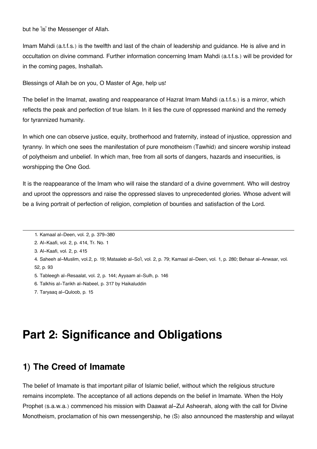but he 'is' the Messenger of Allah.

Imam Mahdi (a.t.f.s.) is the twelfth and last of the chain of leadership and guidance. He is alive and in occultation on divine command. Further information concerning Imam Mahdi (a.t.f.s.) will be provided for in the coming pages, Inshallah.

Blessings of Allah be on you, O Master of Age, help us!

The belief in the Imamat, awating and reappearance of Hazrat Imam Mahdi (a.t.f.s.) is a mirror, which reflects the peak and perfection of true Islam. In it lies the cure of oppressed mankind and the remedy for tyrannized humanity.

In which one can observe justice, equity, brotherhood and fraternity, instead of injustice, oppression and tyranny. In which one sees the manifestation of pure monotheism (Tawhid) and sincere worship instead of polytheism and unbelief. In which man, free from all sorts of dangers, hazards and insecurities, is worshipping the One God.

It is the reappearance of the Imam who will raise the standard of a divine government. Who will destroy and uproot the oppressors and raise the oppressed slaves to unprecedented glories. Whose advent will be a living portrait of perfection of religion, completion of bounties and satisfaction of the Lord.

[3.](#page--1-0) Al-Kaafi, vol. 2, p. 415

[5.](#page--1-0) Tableegh al-Resaalat, vol. 2, p. 144; Ayyaam al-Sulh, p. 146

[6.](#page--1-0) Talkhis al-Tarikh al-Nabeel, p. 317 by Haikaluddin

[7.](#page--1-0) Taryaaq al-Quloob, p. 15

# **Part 2: Significance and Obligations**

### **[1\) The Creed of Imamate](#page--1-0)**

The belief of Imamate is that important pillar of Islamic belief, without which the religious structure remains incomplete. The acceptance of all actions depends on the belief in Imamate. When the Holy Prophet (s.a.w.a.) commenced his mission with Daawat al-Zul Asheerah, along with the call for Divine Monotheism, proclamation of his own messengership, he (S) also announced the mastership and wilayat

[<sup>1.</sup>](#page--1-0) Kamaal al-Deen, vol. 2, p. 379-380

[<sup>2.</sup>](#page--1-0) Al-Kaafi, vol. 2, p. 414, Tr. No. 1

[<sup>4.</sup>](#page--1-0) Saheeh al-Muslim, vol.2, p. 19; Mataaleb al-So'l, vol. 2, p. 79; Kamaal al-Deen, vol. 1, p. 280; Behaar al-Anwaar, vol. 52, p. 93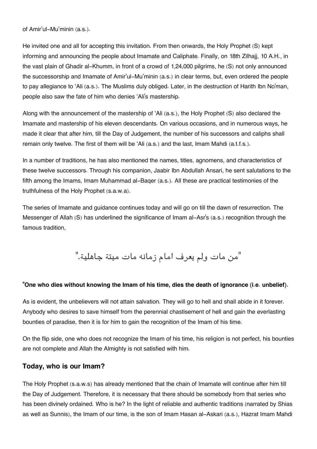of Amir'ul-Mu'minin (a.s.).

He invited one and all for accepting this invitation. From then onwards, the Holy Prophet (S) kept informing and announcing the people about Imamate and Caliphate. Finally, on 18th Zilhajj, 10 A.H., in the vast plain of Ghadir al-Khumm, in front of a crowd of 1,24,000 pilgrims, he (S) not only announced the successorship and Imamate of Amir'ul-Mu'minin (a.s.) in clear terms, but, even ordered the people to pay allegiance to 'Ali (a.s.). The Muslims duly obliged. Later, in the destruction of Harith Ibn No'man, people also saw the fate of him who denies 'Ali's mastership.

Along with the announcement of the mastership of 'Ali (a.s.), the Holy Prophet (S) also declared the Imamate and mastership of his eleven descendants. On various occasions, and in numerous ways, he made it clear that after him, till the Day of Judgement, the number of his successors and caliphs shall remain only twelve. The first of them will be 'Ali (a.s.) and the last, Imam Mahdi (a.t.f.s.).

In a number of traditions, he has also mentioned the names, titles, agnomens, and characteristics of these twelve successors. Through his companion, Jaabir Ibn Abdullah Ansari, he sent salutations to the fifth among the Imams, Imam Muhammad al-Baqer (a.s.). All these are practical testimonies of the truthfulness of the Holy Prophet (s.a.w.a).

The series of Imamate and guidance continues today and will go on till the dawn of resurrection. The Messenger of Allah (S) has underlined the significance of Imam al-Asr's (a.s.) recognition through the famous tradition,

"من مات ولم يعرف امام زمانه مات ميتة جاهلية."

#### **"One who dies without knowing the Imam of his time, dies the death of ignorance (i.e. unbelief).**

As is evident, the unbelievers will not attain salvation. They will go to hell and shall abide in it forever. Anybody who desires to save himself from the perennial chastisement of hell and gain the everlasting bounties of paradise, then it is for him to gain the recognition of the Imam of his time.

On the flip side, one who does not recognize the Imam of his time, his religion is not perfect, his bounties are not complete and Allah the Almighty is not satisfied with him.

#### **[Today, who is our Imam?](#page--1-0)**

The Holy Prophet (s.a.w.s) has already mentioned that the chain of Imamate will continue after him till the Day of Judgement. Therefore, it is necessary that there should be somebody from that series who has been divinely ordained. Who is he? In the light of reliable and authentic traditions (narrated by Shias as well as Sunnis), the Imam of our time, is the son of Imam Hasan al-Askari (a.s.), Hazrat Imam Mahdi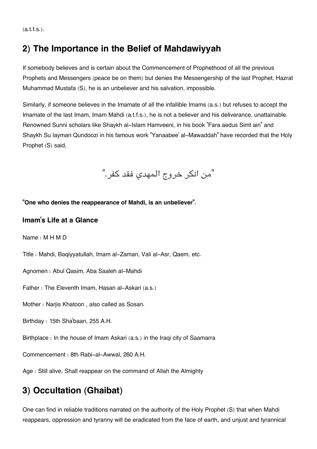$(a.t.f.s.).$ 

# **[2\) The Importance in the Belief of Mahdawiyyah](#page--1-0)**

If somebody believes and is certain about the Commencement of Prophethood of all the previous Prophets and Messengers (peace be on them) but denies the Messengership of the last Prophet, Hazrat Muhammad Mustafa (S), he is an unbeliever and his salvation, impossible.

Similarly, if someone believes in the Imamate of all the infallible Imams (a.s.) but refuses to accept the Imamate of the last Imam, Imam Mahdi (a.t.f.s.), he is not a believer and his deliverance, unattainable. Renowned Sunni scholars like Shaykh al-Islam Hamveeni, in his book "Fara aedus Simt ain" and Shaykh Su layman Qundoozi in his famous work "Yanaabee' al-Mawaddah" have recorded that the Holy Prophet (S) said,

"من انكر خروج المهدى فقد كفر."

**"One who denies the reappearance of Mahdi, is an unbeliever".**

#### **Imam['s Life at a Glance](#page--1-0)**

Name : M H M D

Title : Mahdi, Baqiyyatullah, Imam al-Zaman, Vali al-Asr, Qaem, etc.

Agnomen : Abul Qasim, Aba Saaleh al-Mahdi

Father : The Eleventh Imam, Hasan al-Askari (a.s.)

Mother : Narjis Khatoon , also called as Sosan.

Birthday : 15th Sha'baan, 255 A.H.

Birthplace : In the house of Imam Askari (a.s.) in the Iraqi city of Saamarra

Commencement : 8th Rabi-al-Awwal, 260 A.H.

Age : Still alive. Shall reappear on the command of Allah the Almighty

# **[3\) Occultation \(Ghaibat\)](#page--1-0)**

One can find in reliable traditions narrated on the authority of the Holy Prophet (S) that when Mahdi reappears, oppression and tyranny will be eradicated from the face of earth, and unjust and tyrannical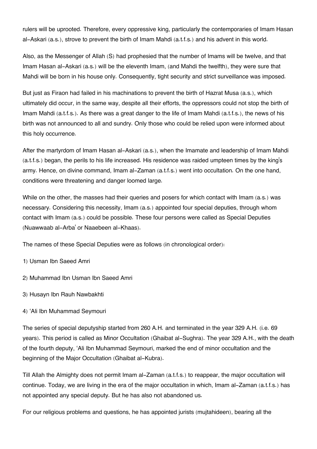rulers will be uprooted. Therefore, every oppressive king, particularly the contemporaries of Imam Hasan al-Askari (a.s.), strove to prevent the birth of Imam Mahdi (a.t.f.s.) and his advent in this world.

Also, as the Messenger of Allah (S) had prophesied that the number of Imams will be twelve, and that Imam Hasan al-Askari (a.s.) will be the eleventh Imam, (and Mahdi the twelfth), they were sure that Mahdi will be born in his house only. Consequently, tight security and strict surveillance was imposed.

But just as Firaon had failed in his machinations to prevent the birth of Hazrat Musa (a.s.), which ultimately did occur, in the same way, despite all their efforts, the oppressors could not stop the birth of Imam Mahdi (a.t.f.s.). As there was a great danger to the life of Imam Mahdi (a.t.f.s.), the news of his birth was not announced to all and sundry. Only those who could be relied upon were informed about this holy occurrence.

After the martyrdom of Imam Hasan al-Askari (a.s.), when the Imamate and leadership of Imam Mahdi (a.t.f.s.) began, the perils to his life increased. His residence was raided umpteen times by the king's army. Hence, on divine command, Imam al-Zaman (a.t.f.s.) went into occultation. On the one hand, conditions were threatening and danger loomed large.

While on the other, the masses had their queries and posers for which contact with Imam (a.s.) was necessary. Considering this necessity, Imam (a.s.) appointed four special deputies, through whom contact with Imam (a.s.) could be possible. These four persons were called as Special Deputies (Nuawwaab al-Arba' or Naaebeen al-Khaas).

The names of these Special Deputies were as follows (in chronological order):

- 1) Usman Ibn Saeed Amri
- 2) Muhammad Ibn Usman Ibn Saeed Amri
- 3) Husayn Ibn Rauh Nawbakhti
- 4) 'Ali Ibn Muhammad Seymouri

The series of special deputyship started from 260 A.H. and terminated in the year 329 A.H. (i.e. 69 years). This period is called as Minor Occultation (Ghaibat al-Sughra). The year 329 A.H., with the death of the fourth deputy, 'Ali Ibn Muhammad Seymouri, marked the end of minor occultation and the beginning of the Major Occultation (Ghaibat al-Kubra).

Till Allah the Almighty does not permit Imam al-Zaman (a.t.f.s.) to reappear, the major occultation will continue. Today, we are living in the era of the major occultation in which, Imam al-Zaman (a.t.f.s.) has not appointed any special deputy. But he has also not abandoned us.

For our religious problems and questions, he has appointed jurists (mujtahideen), bearing all the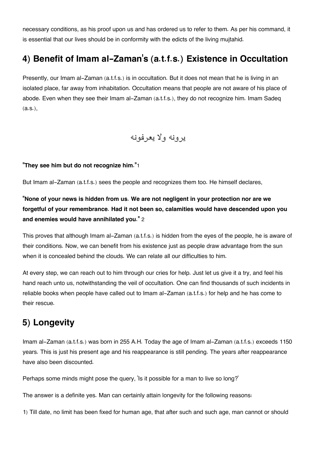necessary conditions, as his proof upon us and has ordered us to refer to them. As per his command, it is essential that our lives should be in conformity with the edicts of the living mujtahid.

# **4) Benefit of Imam al-Zaman['s \(a.t.f.s.\) Existence in Occultation](#page--1-0)**

Presently, our Imam al-Zaman (a.t.f.s.) is in occultation. But it does not mean that he is living in an isolated place, far away from inhabitation. Occultation means that people are not aware of his place of abode. Even when they see their Imam al-Zaman (a.t.f.s.), they do not recognize him. Imam Sadeq (a.s.),

### يرونه ولا يعرفونه

#### **"They see him but do not recognize him."**[1](#page--1-0)

But Imam al-Zaman (a.t.f.s.) sees the people and recognizes them too. He himself declares,

**"None of your news is hidden from us. We are not negligent in your protection nor are we forgetful of your remembrance. Had it not been so, calamities would have descended upon you and enemies would have annihilated you."** [2](#page--1-0)

This proves that although Imam al-Zaman (a.t.f.s.) is hidden from the eyes of the people, he is aware of their conditions. Now, we can benefit from his existence just as people draw advantage from the sun when it is concealed behind the clouds. We can relate all our difficulties to him.

At every step, we can reach out to him through our cries for help. Just let us give it a try, and feel his hand reach unto us, notwithstanding the veil of occultation. One can find thousands of such incidents in reliable books when people have called out to Imam al-Zaman (a.t.f.s.) for help and he has come to their rescue.

# **[5\) Longevity](#page--1-0)**

Imam al-Zaman (a.t.f.s.) was born in 255 A.H. Today the age of Imam al-Zaman (a.t.f.s.) exceeds 1150 years. This is just his present age and his reappearance is still pending. The years after reappearance have also been discounted.

Perhaps some minds might pose the query, 'Is it possible for a man to live so long?'

The answer is a definite yes. Man can certainly attain longevity for the following reasons:

1) Till date, no limit has been fixed for human age, that after such and such age, man cannot or should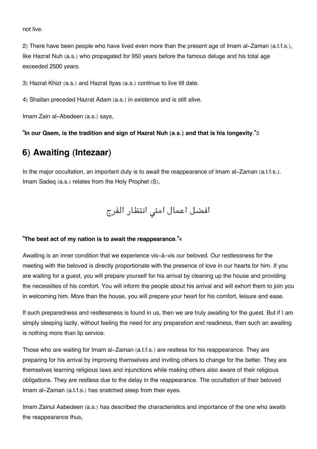not live.

2) There have been people who have lived even more than the present age of Imam al-Zaman (a.t.f.s.), like Hazrat Nuh (a.s.) who propagated for 950 years before the famous deluge and his total age exceeded 2500 years.

3) Hazrat Khizr (a.s.) and Hazrat Ilyas (a.s.) continue to live till date.

4) Shaitan preceded Hazrat Adam (a.s.) in existence and is still alive.

Imam Zain al-Abedeen (a.s.) says,

**"In our Qaem, is the tradition and sign of Hazrat Nuh (a.s.) and that is his longevity."**[3](#page--1-0)

### **[6\) Awaiting \(Intezaar\)](#page--1-0)**

In the major occultation, an important duty is to await the reappearance of Imam al-Zaman (a.t.f.s.). Imam Sadeq (a.s.) relates from the Holy Prophet (S),

افضل اعمال امتى انتظار الفرج

#### **"The best act of my nation is to await the reappearance."**[4](#page--1-0)

Awaiting is an inner condition that we experience vis-à-vis our beloved. Our restlessness for the meeting with the beloved is directly proportionate with the presence of love in our hearts for him. If you are waiting for a guest, you will prepare yourself for his arrival by cleaning up the house and providing the necessities of his comfort. You will inform the people about his arrival and will exhort them to join you in welcoming him. More than the house, you will prepare your heart for his comfort, leisure and ease.

If such preparedness and restlessness is found in us, then we are truly awaiting for the guest. But if I am simply sleeping lazily, without feeling the need for any preparation and readiness, then such an awaiting is nothing more than lip service.

Those who are waiting for Imam al-Zaman (a.t.f.s.) are restless for his reappearance. They are preparing for his arrival by improving themselves and inviting others to change for the better. They are themselves learning religious laws and injunctions while making others also aware of their religious obligations. They are restless due to the delay in the reappearance. The occultation of their beloved Imam al-Zaman (a.t.f.s.) has snatched sleep from their eyes.

Imam Zainul Aabedeen (a.s.) has described the characteristics and importance of the one who awaits the reappearance thus,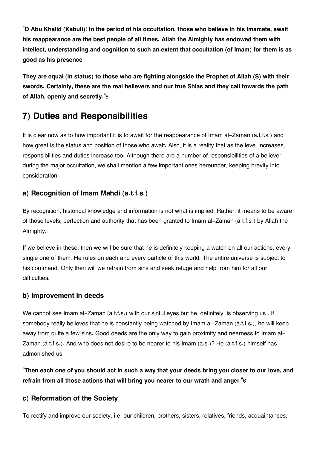**"O Abu Khalid (Kabuli)! In the period of his occultation, those who believe in his Imamate, await his reappearance are the best people of all times. Allah the Almighty has endowed them with intellect, understanding and cognition to such an extent that occultation (of Imam) for them is as good as his presence.**

**They are equal (in status) to those who are fighting alongside the Prophet of Allah (S) with their swords. Certainly, these are the real believers and our true Shias and they call towards the path of Allah, openly and secretly."**[5](#page--1-0)

# **[7\) Duties and Responsibilities](#page--1-0)**

It is clear now as to how important it is to await for the reappearance of Imam al-Zaman (a.t.f.s.) and how great is the status and position of those who await. Also, it is a reality that as the level increases, responsibilities and duties increase too. Although there are a number of responsibilities of a believer during the major occultation, we shall mention a few important ones hereunder, keeping brevity into consideration.

#### **[a\) Recognition of Imam Mahdi \(a.t.f.s.\)](#page--1-0)**

By recognition, historical knowledge and information is not what is implied. Rather, it means to be aware of those levels, perfection and authority that has been granted to Imam al-Zaman (a.t.f.s.) by Allah the Almighty.

If we believe in these, then we will be sure that he is definitely keeping a watch on all our actions, every single one of them. He rules on each and every particle of this world. The entire universe is subject to his command. Only then will we refrain from sins and seek refuge and help from him for all our difficulties.

#### **[b\) Improvement in deeds](#page--1-0)**

We cannot see Imam al-Zaman (a.t.f.s.) with our sinful eyes but he, definitely, is observing us . If somebody really believes that he is constantly being watched by Imam al-Zaman (a.t.f.s.), he will keep away from quite a few sins. Good deeds are the only way to gain proximity and nearness to Imam al-Zaman (a.t.f.s.). And who does not desire to be nearer to his Imam (a.s.)? He (a.t.f.s.) himself has admonished us,

**"Then each one of you should act in such a way that your deeds bring you closer to our love, and refrain from all those actions that will bring you nearer to our wrath and anger."**[6](#page--1-0)

#### **[c\) Reformation of the Society](#page--1-0)**

To rectify and improve our society, i.e. our children, brothers, sisters, relatives, friends, acquaintances,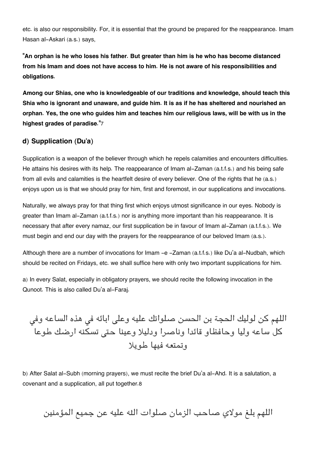etc. is also our responsibility. For, it is essential that the ground be prepared for the reappearance. Imam Hasan al-Askari (a.s.) says,

**"An orphan is he who loses his father. But greater than him is he who has become distanced from his Imam and does not have access to him. He is not aware of his responsibilities and obligations.**

**Among our Shias, one who is knowledgeable of our traditions and knowledge, should teach this Shia who is ignorant and unaware, and guide him. It is as if he has sheltered and nourished an orphan. Yes, the one who guides him and teaches him our religious laws, will be with us in the highest grades of paradise."**[7](#page--1-0)

#### **[d\) Supplication \(Du'a\)](#page--1-0)**

Supplication is a weapon of the believer through which he repels calamities and encounters difficulties. He attains his desires with its help. The reappearance of Imam al-Zaman (a.t.f.s.) and his being safe from all evils and calamities is the heartfelt desire of every believer. One of the rights that he (a.s.) enjoys upon us is that we should pray for him, first and foremost, in our supplications and invocations.

Naturally, we always pray for that thing first which enjoys utmost significance in our eyes. Nobody is greater than Imam al-Zaman (a.t.f.s.) nor is anything more important than his reappearance. It is necessary that after every namaz, our first supplication be in favour of Imam al-Zaman (a.t.f.s.). We must begin and end our day with the prayers for the reappearance of our beloved Imam (a.s.).

Although there are a number of invocations for Imam -e -Zaman (a.t.f.s.) like Du'a al-Nudbah, which should be recited on Fridays, etc. we shall suffice here with only two important supplications for him.

a) In every Salat, especially in obligatory prayers, we should recite the following invocation in the Qunoot. This is also called Du'a al-Faraj.

اللهم كن لوليك الحجة بن الحسن صلواتك عليه وعلى ابائه في هذه الساعه وفي كل ساعه وليا وحافظاو قائدا وناصرا ودليلا وعينا حتى تسكنه ارضك طوعا وتمتعه فيها طويلا

b) After Salat al-Subh (morning prayers), we must recite the brief Du'a al-Ahd. It is a salutation, a covenant and a supplication, all put together.[8](#page--1-0)

اللهم بلغ مولاي صاحب الزمان صلوات اله عليه عن جميع المؤمنين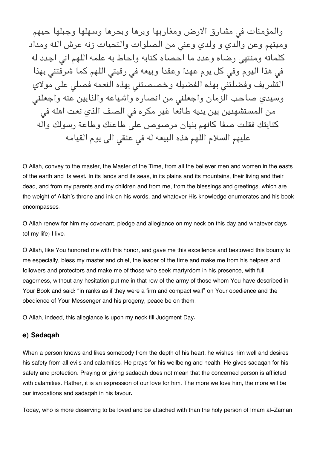والمؤمنات فى مشارق الارض ومغاربها وبرها وبحرها وسهلها وجبلها حيهم وميتهم وعن والدي و ولدي وعنى من الصلوات والتحيات زنه عرش الله ومداد كلماته ومنتهى رضاه وعدد ما احصاه كتابه واحاط به علمه اللهم انى اجدد له في هذا اليوم وفي كل يوم عهدا وعقدا وبيعه في رقبتي اللهم كما شرفتني بهذا التشريف وفضلتنى بهذه الفضيله وخصصتنى بهذه النعمه فصلى على مولاي وسيدي صاحب الزمان واجعلن من انصاره واشياعه والذابين عنه واجعلن من المستشهدين بين يديه طائعا غير مكره في الصف الذي نعت اهله في كتابتك فقلت صفا كانهم بنيان مرصوص عل طاعتك وطاعة رسولك واله عليهم السلام اللهم هذه البيعه له في عنقي الى يوم القيامه

O Allah, convey to the master, the Master of the Time, from all the believer men and women in the easts of the earth and its west. In its lands and its seas, in its plains and its mountains, their living and their dead, and from my parents and my children and from me, from the blessings and greetings, which are the weight of Allah's throne and ink on his words, and whatever His knowledge enumerates and his book encompasses.

O Allah renew for him my covenant, pledge and allegiance on my neck on this day and whatever days (of my life) I live.

O Allah, like You honored me with this honor, and gave me this excellence and bestowed this bounty to me especially, bless my master and chief, the leader of the time and make me from his helpers and followers and protectors and make me of those who seek martyrdom in his presence, with full eagerness, without any hesitation put me in that row of the army of those whom You have described in Your Book and said: "in ranks as if they were a firm and compact wall" on Your obedience and the obedience of Your Messenger and his progeny, peace be on them.

O Allah, indeed, this allegiance is upon my neck till Judgment Day.

#### **[e\) Sadaqah](#page--1-0)**

When a person knows and likes somebody from the depth of his heart, he wishes him well and desires his safety from all evils and calamities. He prays for his wellbeing and health. He gives sadaqah for his safety and protection. Praying or giving sadaqah does not mean that the concerned person is afflicted with calamities. Rather, it is an expression of our love for him. The more we love him, the more will be our invocations and sadaqah in his favour.

Today, who is more deserving to be loved and be attached with than the holy person of Imam al-Zaman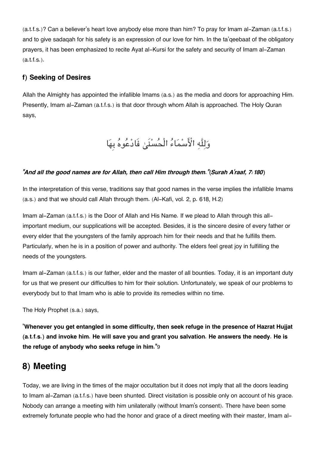(a.t.f.s.)? Can a believer's heart love anybody else more than him? To pray for Imam al-Zaman (a.t.f.s.) and to give sadaqah for his safety is an expression of our love for him. In the ta'qeebaat of the obligatory prayers, it has been emphasized to recite Ayat al-Kursi for the safety and security of Imam al-Zaman (a.t.f.s.).

### **[f\) Seeking of Desires](#page--1-0)**

Allah the Almighty has appointed the infallible Imams (a.s.) as the media and doors for approaching Him. Presently, Imam al-Zaman (a.t.f.s.) is that door through whom Allah is approached. The Holy Quran says,

# وَلِلَّهِ الْأَسْمَاءُ الْحُسْنَىٰ فَادْعُوهُ بِهَا

#### *"And all the good names are for Allah, then call Him through them."(Surah A'raaf, 7:180)*

In the interpretation of this verse, traditions say that good names in the verse implies the infallible Imams (a.s.) and that we should call Allah through them. (Al-Kafi, vol. 2, p. 618, H.2)

Imam al-Zaman (a.t.f.s.) is the Door of Allah and His Name. If we plead to Allah through this allimportant medium, our supplications will be accepted. Besides, it is the sincere desire of every father or every elder that the youngsters of the family approach him for their needs and that he fulfills them. Particularly, when he is in a position of power and authority. The elders feel great joy in fulfilling the needs of the youngsters.

Imam al-Zaman (a.t.f.s.) is our father, elder and the master of all bounties. Today, it is an important duty for us that we present our difficulties to him for their solution. Unfortunately, we speak of our problems to everybody but to that Imam who is able to provide its remedies within no time.

The Holy Prophet (s.a.) says,

"**Whenever you get entangled in some difficulty, then seek refuge in the presence of Hazrat Hujjat (a.t.f.s.) and invoke him. He will save you and grant you salvation. He answers the needy. He is the refuge of anybody who seeks refuge in him."**[9](#page--1-0)

# **[8\) Meeting](#page--1-0)**

Today, we are living in the times of the major occultation but it does not imply that all the doors leading to Imam al-Zaman (a.t.f.s.) have been shunted. Direct visitation is possible only on account of his grace. Nobody can arrange a meeting with him unilaterally (without Imam's consent). There have been some extremely fortunate people who had the honor and grace of a direct meeting with their master, Imam al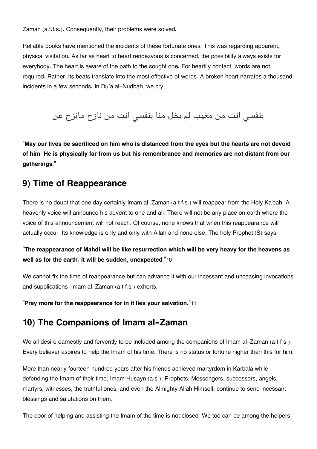Zaman (a.t.f.s.). Consequently, their problems were solved.

Reliable books have mentioned the incidents of these fortunate ones. This was regarding apparent, physical visitation. As far as heart to heart rendezvous is concerned, the possibility always exists for everybody. The heart is aware of the path to the sought one. For heartily contact, words are not required. Rather, its beats translate into the most effective of words. A broken heart narrates a thousand incidents in a few seconds. In Du'a al-Nudbah, we cry,

# بنفس انت من مغيب لم يخل منا بنفس انت من نازح مانزح عن

**"May our lives be sacrificed on him who is distanced from the eyes but the hearts are not devoid of him. He is physically far from us but his remembrance and memories are not distant from our gatherings."**

### **[9\) Time of Reappearance](#page--1-0)**

There is no doubt that one day certainly Imam al-Zaman (a.t.f.s.) will reappear from the Holy Ka'bah. A heavenly voice will announce his advent to one and all. There will not be any place on earth where the voice of this announcement will not reach. Of course, none knows that when this reappearance will actually occur. Its knowledge is only and only with Allah and none else. The holy Prophet (S) says,

#### **"The reappearance of Mahdi will be like resurrection which will be very heavy for the heavens as well as for the earth. It will be sudden, unexpected."**[10](#page--1-0)

We cannot fix the time of reappearance but can advance it with our incessant and unceasing invocations and supplications. Imam al-Zaman (a.t.f.s.) exhorts,

**"Pray more for the reappearance for in it lies your salvation."**[11](#page--1-0)

### **[10\) The Companions of Imam al-Zaman](#page--1-0)**

We all desire earnestly and fervently to be included among the companions of Imam al-Zaman (a.t.f.s.). Every believer aspires to help the Imam of his time. There is no status or fortune higher than this for him.

More than nearly fourteen hundred years after his friends achieved martyrdom in Karbala while defending the Imam of their time, Imam Husayn (a.s.), Prophets, Messengers, successors, angels, martyrs, witnesses, the truthful ones, and even the Almighty Allah Himself, continue to send incessant blessings and salutations on them.

The door of helping and assisting the Imam of the time is not closed. We too can be among the helpers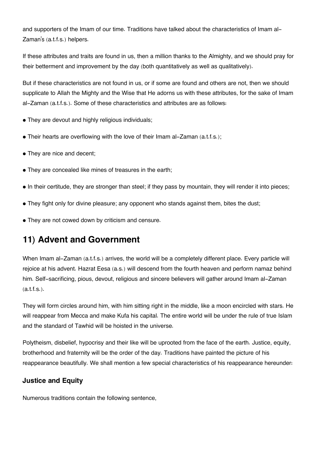and supporters of the Imam of our time. Traditions have talked about the characteristics of Imam al-Zaman's (a.t.f.s.) helpers.

If these attributes and traits are found in us, then a million thanks to the Almighty, and we should pray for their betterment and improvement by the day (both quantitatively as well as qualitatively).

But if these characteristics are not found in us, or if some are found and others are not, then we should supplicate to Allah the Mighty and the Wise that He adorns us with these attributes, for the sake of Imam al-Zaman (a.t.f.s.). Some of these characteristics and attributes are as follows:

- They are devout and highly religious individuals;
- Their hearts are overflowing with the love of their Imam al-Zaman (a.t.f.s.);
- They are nice and decent;
- They are concealed like mines of treasures in the earth;
- In their certitude, they are stronger than steel; if they pass by mountain, they will render it into pieces;
- They fight only for divine pleasure; any opponent who stands against them, bites the dust;
- They are not cowed down by criticism and censure.

# **[11\) Advent and Government](#page--1-0)**

When Imam al-Zaman (a.t.f.s.) arrives, the world will be a completely different place. Every particle will rejoice at his advent. Hazrat Eesa (a.s.) will descend from the fourth heaven and perform namaz behind him. Self-sacrificing, pious, devout, religious and sincere believers will gather around Imam al-Zaman (a.t.f.s.).

They will form circles around him, with him sitting right in the middle, like a moon encircled with stars. He will reappear from Mecca and make Kufa his capital. The entire world will be under the rule of true Islam and the standard of Tawhid will be hoisted in the universe.

Polytheism, disbelief, hypocrisy and their like will be uprooted from the face of the earth. Justice, equity, brotherhood and fraternity will be the order of the day. Traditions have painted the picture of his reappearance beautifully. We shall mention a few special characteristics of his reappearance hereunder:

#### **[Justice and Equity](#page--1-0)**

Numerous traditions contain the following sentence,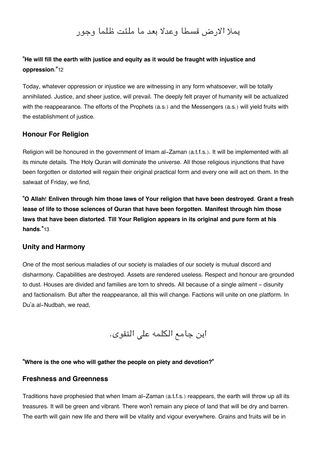## يملا الارض قسطا وعدلا بعد ما ملئت ظلما وجور

#### **"He will fill the earth with justice and equity as it would be fraught with injustice and oppression."**[12](#page--1-0)

Today, whatever oppression or injustice we are witnessing in any form whatsoever, will be totally annihilated. Justice, and sheer justice, will prevail. The deeply felt prayer of humanity will be actualized with the reappearance. The efforts of the Prophets (a.s.) and the Messengers (a.s.) will yield fruits with the establishment of justice.

#### **[Honour For Religion](#page--1-0)**

Religion will be honoured in the government of Imam al-Zaman (a.t.f.s.). It will be implemented with all its minute details. The Holy Quran will dominate the universe. All those religious injunctions that have been forgotten or distorted will regain their original practical form and every one will act on them. In the salwaat of Friday, we find,

**"O Allah! Enliven through him those laws of Your religion that have been destroyed. Grant a fresh lease of life to those sciences of Quran that have been forgotten. Manifest through him those laws that have been distorted. Till Your Religion appears in its original and pure form at his hands."**[13](#page--1-0)

#### **[Unity and Harmony](#page--1-0)**

One of the most serious maladies of our society is maladies of our society is mutual discord and disharmony. Capabilities are destroyed. Assets are rendered useless. Respect and honour are grounded to dust. Houses are divided and families are torn to shreds. All because of a single ailment - disunity and factionalism. But after the reappearance, all this will change. Factions will unite on one platform. In Du'a al-Nudbah, we read,

اين جامع الكلمه على التقوى.

#### **"Where is the one who will gather the people on piety and devotion?"**

#### **[Freshness and Greenness](#page--1-0)**

Traditions have prophesied that when Imam al-Zaman (a.t.f.s.) reappears, the earth will throw up all its treasures. It will be green and vibrant. There won't remain any piece of land that will be dry and barren. The earth will gain new life and there will be vitality and vigour everywhere. Grains and fruits will be in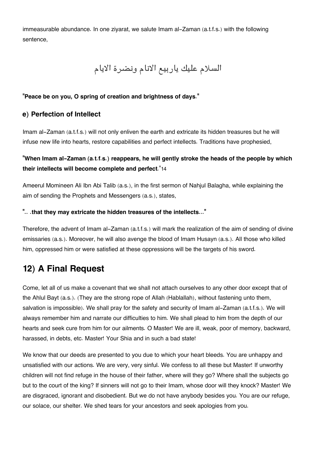immeasurable abundance. In one ziyarat, we salute Imam al-Zaman (a.t.f.s.) with the following sentence,

# السلام عليك ياربيع الانام ونضرة الايام

#### **"Peace be on you, O spring of creation and brightness of days."**

#### **[e\) Perfection of Intellect](#page--1-0)**

Imam al-Zaman (a.t.f.s.) will not only enliven the earth and extricate its hidden treasures but he will infuse new life into hearts, restore capabilities and perfect intellects. Traditions have prophesied,

#### **"When Imam al-Zaman (a.t.f.s.) reappears, he will gently stroke the heads of the people by which their intellects will become complete and perfect**."[14](#page--1-0)

Ameerul Momineen Ali Ibn Abi Talib (a.s.), in the first sermon of Nahjul Balagha, while explaining the aim of sending the Prophets and Messengers (a.s.), states,

#### **".. .that they may extricate the hidden treasures of the intellects..."**

Therefore, the advent of Imam al-Zaman (a.t.f.s.) will mark the realization of the aim of sending of divine emissaries (a.s.). Moreover, he will also avenge the blood of Imam Husayn (a.s.). All those who killed him, oppressed him or were satisfied at these oppressions will be the targets of his sword.

# **[12\) A Final Request](#page--1-0)**

Come, let all of us make a covenant that we shall not attach ourselves to any other door except that of the Ahlul Bayt (a.s.). (They are the strong rope of Allah (Hablallah), without fastening unto them, salvation is impossible). We shall pray for the safety and security of Imam al-Zaman (a.t.f.s.). We will always remember him and narrate our difficulties to him. We shall plead to him from the depth of our hearts and seek cure from him for our ailments. O Master! We are ill, weak, poor of memory, backward, harassed, in debts, etc. Master! Your Shia and in such a bad state!

We know that our deeds are presented to you due to which your heart bleeds. You are unhappy and unsatisfied with our actions. We are very, very sinful. We confess to all these but Master! If unworthy children will not find refuge in the house of their father, where will they go? Where shall the subjects go but to the court of the king? If sinners will not go to their Imam, whose door will they knock? Master! We are disgraced, ignorant and disobedient. But we do not have anybody besides you. You are our refuge, our solace, our shelter. We shed tears for your ancestors and seek apologies from you.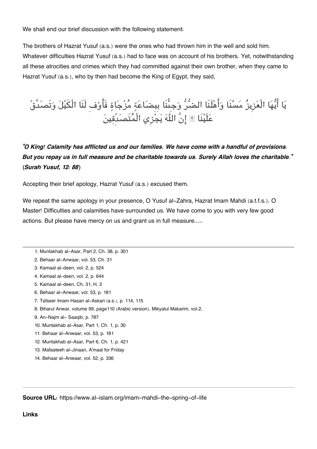We shall end our brief discussion with the following statement:

The brothers of Hazrat Yusuf (a.s.) were the ones who had thrown him in the well and sold him. Whatever difficulties Hazrat Yusuf (a.s.) had to face was on account of his brothers. Yet, notwithstanding all these atrocities and crimes which they had committed against their own brother, when they came to Hazrat Yusuf (a.s.), who by then had become the King of Egypt, they said,

يا ايها الْعزِيز مسنَا واهلَنَا الضر وجِىنَا بِبِضاعة مزجاة فَاوفِ لَنَا الْيل وتَصدَّق عَلَيْنَا ۞ إِنَّ اللَّهَ يَجْزِي الْمَتَصَدَّقِينَ

*"O King! Calamity has afflicted us and our families. We have come with a handful of provisions. But you repay us in full measure and be charitable towards us. Surely Allah loves the charitable." (Surah Yusuf, 12: 88)*

Accepting their brief apology, Hazrat Yusuf (a.s.) excused them.

We repeat the same apology in your presence, O Yusuf al-Zahra, Hazrat Imam Mahdi (a.t.f.s.). O Master! Difficulties and calamities have surrounded us. We have come to you with very few good actions. But please have mercy on us and grant us in full measure.....

- [1.](#page--1-0) Muntakhab al-Asar, Part 2, Ch. 38, p. 301
- [2.](#page--1-0) Behaar al-Anwaar, vol. 53, Ch. 31
- [3.](#page--1-0) Kamaal al-deen, vol. 2, p. 524
- [4.](#page--1-0) Kamaal al-deen, vol. 2, p. 644
- [5.](#page--1-0) Kamaal al-deen, Ch. 31, H. 2
- [6.](#page--1-0) Behaar al-Anwaar, vol. 53, p. 181
- [7.](#page--1-0) Tafseer Imam Hasan al-Askari (a.s.), p. 114, 115
- [8.](#page--1-0) Biharul Anwar, volume 99, page110 (Arabic version), Mikyalul Makarim, vol.2.
- [9.](#page--1-0) An-Najm al- Saaqib, p. 787
- [10.](#page--1-0) Muntakhab al-Asar, Part 1, Ch. 1, p. 30
- [11.](#page--1-0) Behaar al-Anwaar, vol. 53, p. 181
- [12.](#page--1-0) Muntakhab al-Asar, Part 6, Ch. 1, p. 421
- [13.](#page--1-0) Mafaateeh al-Jinaan, A'maal for Friday
- [14.](#page--1-0) Behaar al-Anwaar, vol. 52, p. 336

**Source URL:** https://www.al-islam.org/imam-mahdi-the-spring-of-life